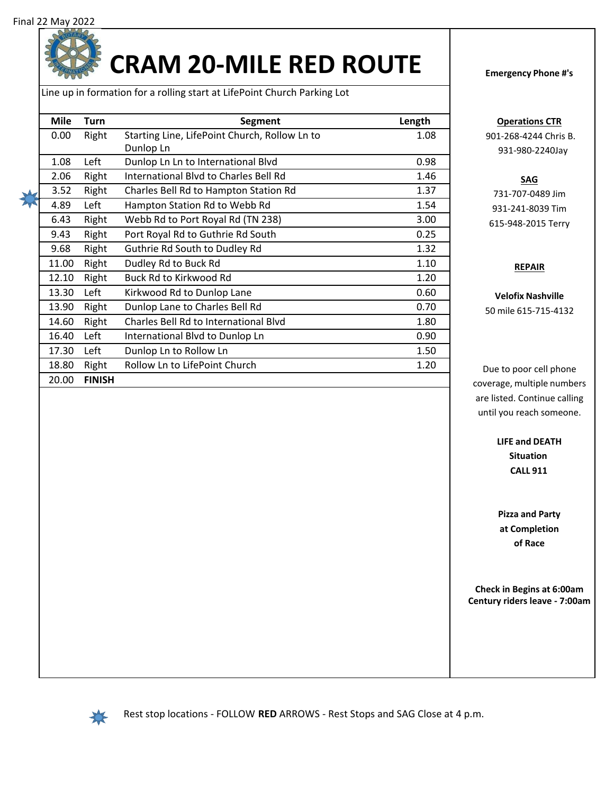

Line up in formation for a rolling start at LifePoint Church Parking Lot

| <b>Mile</b> | <b>Turn</b>   | <b>Segment</b>                                | Length |
|-------------|---------------|-----------------------------------------------|--------|
| 0.00        | Right         | Starting Line, LifePoint Church, Rollow Ln to | 1.08   |
|             |               | Dunlop Ln                                     |        |
| 1.08        | Left          | Dunlop Ln Ln to International Blvd            | 0.98   |
| 2.06        | Right         | International Blvd to Charles Bell Rd         | 1.46   |
| 3.52        | Right         | Charles Bell Rd to Hampton Station Rd         | 1.37   |
| 4.89        | Left          | Hampton Station Rd to Webb Rd                 | 1.54   |
| 6.43        | Right         | Webb Rd to Port Royal Rd (TN 238)             | 3.00   |
| 9.43        | Right         | Port Royal Rd to Guthrie Rd South             | 0.25   |
| 9.68        | Right         | Guthrie Rd South to Dudley Rd                 | 1.32   |
| 11.00       | Right         | Dudley Rd to Buck Rd                          | 1.10   |
| 12.10       | Right         | Buck Rd to Kirkwood Rd                        | 1.20   |
| 13.30       | Left          | Kirkwood Rd to Dunlop Lane                    | 0.60   |
| 13.90       | Right         | Dunlop Lane to Charles Bell Rd                | 0.70   |
| 14.60       | Right         | Charles Bell Rd to International Blvd         | 1.80   |
| 16.40       | Left          | International Blvd to Dunlop Ln               | 0.90   |
| 17.30       | Left          | Dunlop Ln to Rollow Ln                        | 1.50   |
| 18.80       | Right         | Rollow Ln to LifePoint Church                 | 1.20   |
| 20.00       | <b>FINISH</b> |                                               |        |

**Operations CTR** 901-268-4244 Chris B.

931-980-2240Jay

## **SAG**

731-707-0489 Jim 931-241-8039 Tim 615-948-2015 Terry

## **REPAIR**

**Velofix Nashville** 50 mile 615-715-4132

Due to poor cell phone coverage, multiple numbers are listed. Continue calling until you reach someone.

> **LIFE and DEATH Situation CALL 911**

**Pizza and Party at Completion of Race**

**Check in Begins at 6:00am Century riders leave - 7:00am**